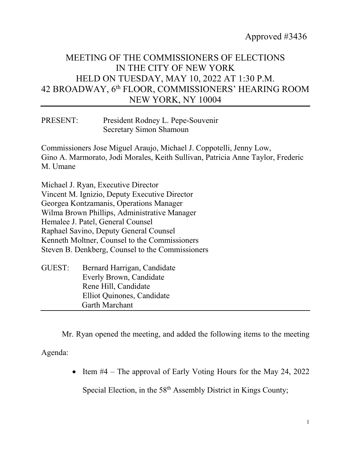## MEETING OF THE COMMISSIONERS OF ELECTIONS IN THE CITY OF NEW YORK HELD ON TUESDAY, MAY 10, 2022 AT 1:30 P.M. 42 BROADWAY, 6th FLOOR, COMMISSIONERS' HEARING ROOM NEW YORK, NY 10004

| PRESENT: | President Rodney L. Pepe-Souvenir |
|----------|-----------------------------------|
|          | <b>Secretary Simon Shamoun</b>    |

Commissioners Jose Miguel Araujo, Michael J. Coppotelli, Jenny Low, Gino A. Marmorato, Jodi Morales, Keith Sullivan, Patricia Anne Taylor, Frederic M. Umane

Michael J. Ryan, Executive Director Vincent M. Ignizio, Deputy Executive Director Georgea Kontzamanis, Operations Manager Wilma Brown Phillips, Administrative Manager Hemalee J. Patel, General Counsel Raphael Savino, Deputy General Counsel Kenneth Moltner, Counsel to the Commissioners Steven B. Denkberg, Counsel to the Commissioners

| Bernard Harrigan, Candidate |  |
|-----------------------------|--|
| Everly Brown, Candidate     |  |
| Rene Hill, Candidate        |  |
| Elliot Quinones, Candidate  |  |
| <b>Garth Marchant</b>       |  |
|                             |  |

Mr. Ryan opened the meeting, and added the following items to the meeting

Agenda:

• Item #4 – The approval of Early Voting Hours for the May 24, 2022

Special Election, in the 58<sup>th</sup> Assembly District in Kings County;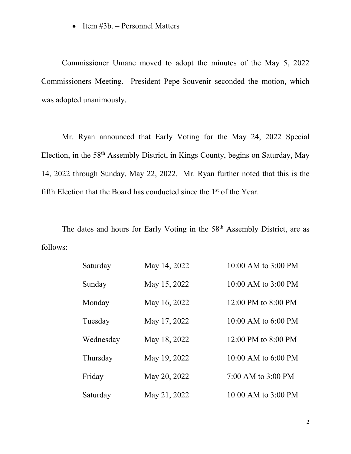• Item #3b. – Personnel Matters

Commissioner Umane moved to adopt the minutes of the May 5, 2022 Commissioners Meeting. President Pepe-Souvenir seconded the motion, which was adopted unanimously.

Mr. Ryan announced that Early Voting for the May 24, 2022 Special Election, in the 58th Assembly District, in Kings County, begins on Saturday, May 14, 2022 through Sunday, May 22, 2022. Mr. Ryan further noted that this is the fifth Election that the Board has conducted since the  $1<sup>st</sup>$  of the Year.

The dates and hours for Early Voting in the 58<sup>th</sup> Assembly District, are as follows:

| Saturday  | May 14, 2022 | 10:00 AM to 3:00 PM     |
|-----------|--------------|-------------------------|
| Sunday    | May 15, 2022 | 10:00 AM to 3:00 PM     |
| Monday    | May 16, 2022 | 12:00 PM to 8:00 PM     |
| Tuesday   | May 17, 2022 | $10:00$ AM to $6:00$ PM |
| Wednesday | May 18, 2022 | 12:00 PM to 8:00 PM     |
| Thursday  | May 19, 2022 | 10:00 AM to 6:00 PM     |
| Friday    | May 20, 2022 | 7:00 AM to 3:00 PM      |
| Saturday  | May 21, 2022 | 10:00 AM to 3:00 PM     |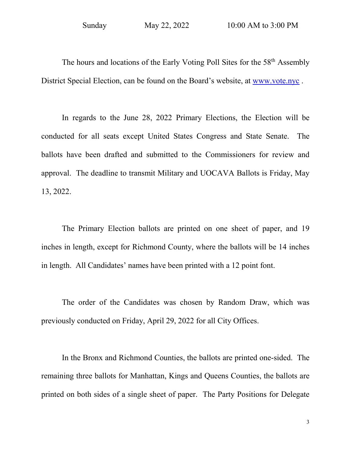The hours and locations of the Early Voting Poll Sites for the 58<sup>th</sup> Assembly District Special Election, can be found on the Board's website, at [www.vote.nyc](http://www.vote.nyc/) .

In regards to the June 28, 2022 Primary Elections, the Election will be conducted for all seats except United States Congress and State Senate. The ballots have been drafted and submitted to the Commissioners for review and approval. The deadline to transmit Military and UOCAVA Ballots is Friday, May 13, 2022.

The Primary Election ballots are printed on one sheet of paper, and 19 inches in length, except for Richmond County, where the ballots will be 14 inches in length. All Candidates' names have been printed with a 12 point font.

The order of the Candidates was chosen by Random Draw, which was previously conducted on Friday, April 29, 2022 for all City Offices.

In the Bronx and Richmond Counties, the ballots are printed one-sided. The remaining three ballots for Manhattan, Kings and Queens Counties, the ballots are printed on both sides of a single sheet of paper. The Party Positions for Delegate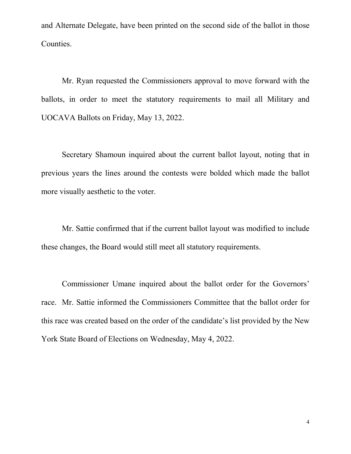and Alternate Delegate, have been printed on the second side of the ballot in those Counties.

Mr. Ryan requested the Commissioners approval to move forward with the ballots, in order to meet the statutory requirements to mail all Military and UOCAVA Ballots on Friday, May 13, 2022.

Secretary Shamoun inquired about the current ballot layout, noting that in previous years the lines around the contests were bolded which made the ballot more visually aesthetic to the voter.

Mr. Sattie confirmed that if the current ballot layout was modified to include these changes, the Board would still meet all statutory requirements.

Commissioner Umane inquired about the ballot order for the Governors' race. Mr. Sattie informed the Commissioners Committee that the ballot order for this race was created based on the order of the candidate's list provided by the New York State Board of Elections on Wednesday, May 4, 2022.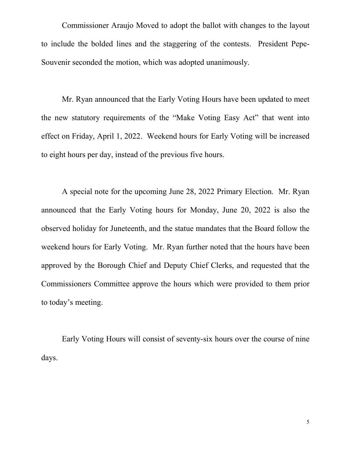Commissioner Araujo Moved to adopt the ballot with changes to the layout to include the bolded lines and the staggering of the contests. President Pepe-Souvenir seconded the motion, which was adopted unanimously.

Mr. Ryan announced that the Early Voting Hours have been updated to meet the new statutory requirements of the "Make Voting Easy Act" that went into effect on Friday, April 1, 2022. Weekend hours for Early Voting will be increased to eight hours per day, instead of the previous five hours.

A special note for the upcoming June 28, 2022 Primary Election. Mr. Ryan announced that the Early Voting hours for Monday, June 20, 2022 is also the observed holiday for Juneteenth, and the statue mandates that the Board follow the weekend hours for Early Voting. Mr. Ryan further noted that the hours have been approved by the Borough Chief and Deputy Chief Clerks, and requested that the Commissioners Committee approve the hours which were provided to them prior to today's meeting.

Early Voting Hours will consist of seventy-six hours over the course of nine days.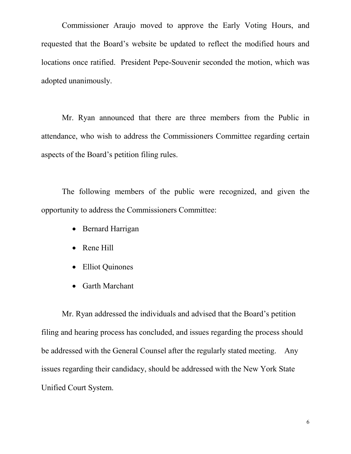Commissioner Araujo moved to approve the Early Voting Hours, and requested that the Board's website be updated to reflect the modified hours and locations once ratified. President Pepe-Souvenir seconded the motion, which was adopted unanimously.

Mr. Ryan announced that there are three members from the Public in attendance, who wish to address the Commissioners Committee regarding certain aspects of the Board's petition filing rules.

The following members of the public were recognized, and given the opportunity to address the Commissioners Committee:

- Bernard Harrigan
- Rene Hill
- Elliot Quinones
- Garth Marchant

Mr. Ryan addressed the individuals and advised that the Board's petition filing and hearing process has concluded, and issues regarding the process should be addressed with the General Counsel after the regularly stated meeting. Any issues regarding their candidacy, should be addressed with the New York State Unified Court System.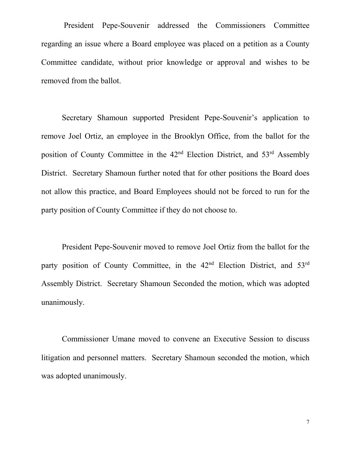President Pepe-Souvenir addressed the Commissioners Committee regarding an issue where a Board employee was placed on a petition as a County Committee candidate, without prior knowledge or approval and wishes to be removed from the ballot.

Secretary Shamoun supported President Pepe-Souvenir's application to remove Joel Ortiz, an employee in the Brooklyn Office, from the ballot for the position of County Committee in the  $42<sup>nd</sup>$  Election District, and  $53<sup>rd</sup>$  Assembly District. Secretary Shamoun further noted that for other positions the Board does not allow this practice, and Board Employees should not be forced to run for the party position of County Committee if they do not choose to.

President Pepe-Souvenir moved to remove Joel Ortiz from the ballot for the party position of County Committee, in the 42<sup>nd</sup> Election District, and 53<sup>rd</sup> Assembly District. Secretary Shamoun Seconded the motion, which was adopted unanimously.

Commissioner Umane moved to convene an Executive Session to discuss litigation and personnel matters. Secretary Shamoun seconded the motion, which was adopted unanimously.